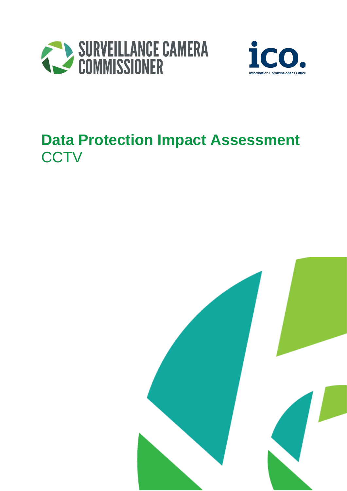



# **Data Protection Impact Assessment CCTV**

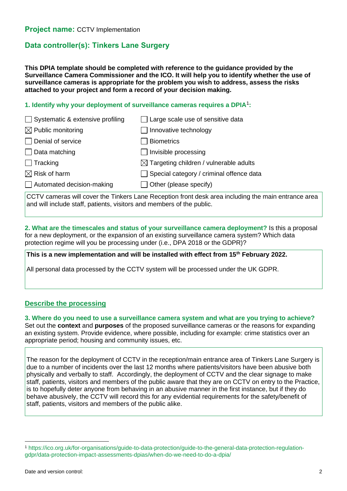# **Data controller(s): Tinkers Lane Surgery**

**This DPIA template should be completed with reference to the guidance provided by the Surveillance Camera Commissioner and the ICO. It will help you to identify whether the use of surveillance cameras is appropriate for the problem you wish to address, assess the risks attached to your project and form a record of your decision making.**

## **1. Identify why your deployment of surveillance cameras requires a DPIA**<sup>1</sup> **:**

| $\Box$ Systematic & extensive profiling<br>$\Box$ Large scale use of sensitive data |  |
|-------------------------------------------------------------------------------------|--|
| $\boxtimes$ Public monitoring<br>  Innovative technology                            |  |
| Denial of service<br>Biometrics                                                     |  |
| $\Box$ Data matching<br>$\Box$ Invisible processing                                 |  |
| $\Box$ Tracking<br>$\boxtimes$ Targeting children / vulnerable adults               |  |
| $\boxtimes$ Risk of harm<br>$\Box$ Special category / criminal offence data         |  |
| $\Box$ Automated decision-making<br>$\Box$ Other (please specify)                   |  |

CCTV cameras will cover the Tinkers Lane Reception front desk area including the main entrance area and will include staff, patients, visitors and members of the public.

**2. What are the timescales and status of your surveillance camera deployment?** Is this a proposal for a new deployment, or the expansion of an existing surveillance camera system? Which data protection regime will you be processing under (i.e., DPA 2018 or the GDPR)?

**This is a new implementation and will be installed with effect from 15th February 2022.**

All personal data processed by the CCTV system will be processed under the UK GDPR.

# **Describe the processing**

**3. Where do you need to use a surveillance camera system and what are you trying to achieve?** Set out the **context** and **purposes** of the proposed surveillance cameras or the reasons for expanding an existing system. Provide evidence, where possible, including for example: crime statistics over an appropriate period; housing and community issues, etc.

The reason for the deployment of CCTV in the reception/main entrance area of Tinkers Lane Surgery is due to a number of incidents over the last 12 months where patients/visitors have been abusive both physically and verbally to staff. Accordingly, the deployment of CCTV and the clear signage to make staff, patients, visitors and members of the public aware that they are on CCTV on entry to the Practice, is to hopefully deter anyone from behaving in an abusive manner in the first instance, but if they do behave abusively, the CCTV will record this for any evidential requirements for the safety/benefit of staff, patients, visitors and members of the public alike.

<sup>1</sup> [https://ico.org.uk/for-organisations/guide-to-data-protection/guide-to-the-general-data-protection-regulation](https://ico.org.uk/for-organisations/guide-to-data-protection/guide-to-the-general-data-protection-regulation-gdpr/data-protection-impact-assessments-dpias/when-do-we-need-to-do-a-dpia/)[gdpr/data-protection-impact-assessments-dpias/when-do-we-need-to-do-a-dpia/](https://ico.org.uk/for-organisations/guide-to-data-protection/guide-to-the-general-data-protection-regulation-gdpr/data-protection-impact-assessments-dpias/when-do-we-need-to-do-a-dpia/)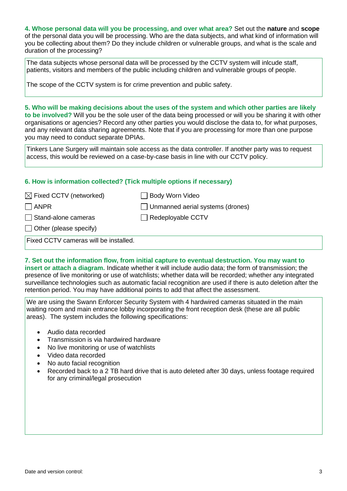**4. Whose personal data will you be processing, and over what area?** Set out the **nature** and **scope** of the personal data you will be processing. Who are the data subjects, and what kind of information will you be collecting about them? Do they include children or vulnerable groups, and what is the scale and duration of the processing?

The data subjects whose personal data will be processed by the CCTV system will inlcude staff, patients, visitors and members of the public including children and vulnerable groups of people.

The scope of the CCTV system is for crime prevention and public safety.

**5. Who will be making decisions about the uses of the system and which other parties are likely to be involved?** Will you be the sole user of the data being processed or will you be sharing it with other organisations or agencies? Record any other parties you would disclose the data to, for what purposes, and any relevant data sharing agreements. Note that if you are processing for more than one purpose you may need to conduct separate DPIAs.

Tinkers Lane Surgery will maintain sole access as the data controller. If another party was to request access, this would be reviewed on a case-by-case basis in line with our CCTV policy.

### **6. How is information collected? (Tick multiple options if necessary)**

| $\boxtimes$ Fixed CCTV (networked)    | □ Body Worn Video                       |
|---------------------------------------|-----------------------------------------|
| <b>ANPR</b>                           | $\Box$ Unmanned aerial systems (drones) |
| Stand-alone cameras                   | $\Box$ Redeployable CCTV                |
| $\Box$ Other (please specify)         |                                         |
| Fixed CCTV cameras will be installed. |                                         |

#### **7. Set out the information flow, from initial capture to eventual destruction. You may want to insert or attach a diagram.** Indicate whether it will include audio data; the form of transmission; the

presence of live monitoring or use of watchlists; whether data will be recorded; whether any integrated surveillance technologies such as automatic facial recognition are used if there is auto deletion after the retention period. You may have additional points to add that affect the assessment.

We are using the Swann Enforcer Security System with 4 hardwired cameras situated in the main waiting room and main entrance lobby incorporating the front reception desk (these are all public areas). The system includes the following specifications:

- Audio data recorded
- Transmission is via hardwired hardware
- No live monitoring or use of watchlists
- Video data recorded
- No auto facial recognition
- Recorded back to a 2 TB hard drive that is auto deleted after 30 days, unless footage required for any criminal/legal prosecution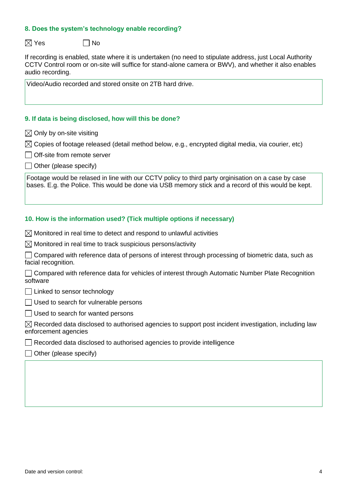### **8. Does the system's technology enable recording?**

 $\boxtimes$  Yes  $\Box$  No

If recording is enabled, state where it is undertaken (no need to stipulate address, just Local Authority CCTV Control room or on-site will suffice for stand-alone camera or BWV), and whether it also enables audio recording.

Video/Audio recorded and stored onsite on 2TB hard drive.

#### **9. If data is being disclosed, how will this be done?**

 $\boxtimes$  Only by on-site visiting

 $\boxtimes$  Copies of footage released (detail method below, e.g., encrypted digital media, via courier, etc)

- **□ Off-site from remote server**
- $\Box$  Other (please specify)

Footage would be relased in line with our CCTV policy to third party orginisation on a case by case bases. E.g. the Police. This would be done via USB memory stick and a record of this would be kept.

#### **10. How is the information used? (Tick multiple options if necessary)**

 $\boxtimes$  Monitored in real time to detect and respond to unlawful activities

 $\boxtimes$  Monitored in real time to track suspicious persons/activity

 $\Box$  Compared with reference data of persons of interest through processing of biometric data, such as facial recognition.

Compared with reference data for vehicles of interest through Automatic Number Plate Recognition software

Linked to sensor technology

 $\Box$  Used to search for vulnerable persons

 $\Box$  Used to search for wanted persons

 $\boxtimes$  Recorded data disclosed to authorised agencies to support post incident investigation, including law enforcement agencies

 $\Box$  Recorded data disclosed to authorised agencies to provide intelligence

 $\Box$  Other (please specify)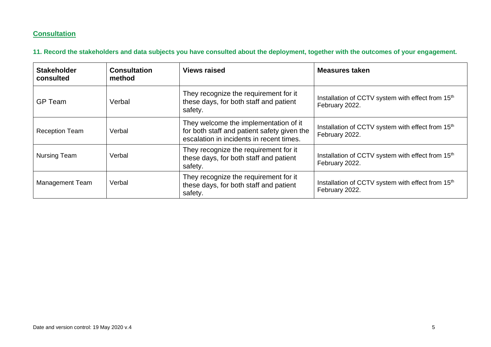# **Consultation**

**11. Record the stakeholders and data subjects you have consulted about the deployment, together with the outcomes of your engagement.**

| <b>Stakeholder</b><br>consulted | <b>Consultation</b><br>method | <b>Views raised</b>                                                                                                              | <b>Measures taken</b>                                                           |
|---------------------------------|-------------------------------|----------------------------------------------------------------------------------------------------------------------------------|---------------------------------------------------------------------------------|
| <b>GP</b> Team                  | Verbal                        | They recognize the requirement for it<br>these days, for both staff and patient<br>safety.                                       | Installation of CCTV system with effect from 15 <sup>th</sup><br>February 2022. |
| <b>Reception Team</b>           | Verbal                        | They welcome the implementation of it<br>for both staff and patient safety given the<br>escalation in incidents in recent times. | Installation of CCTV system with effect from 15 <sup>th</sup><br>February 2022. |
| <b>Nursing Team</b>             | Verbal                        | They recognize the requirement for it<br>these days, for both staff and patient<br>safety.                                       | Installation of CCTV system with effect from 15 <sup>th</sup><br>February 2022. |
| <b>Management Team</b>          | Verbal                        | They recognize the requirement for it<br>these days, for both staff and patient<br>safety.                                       | Installation of CCTV system with effect from 15 <sup>th</sup><br>February 2022. |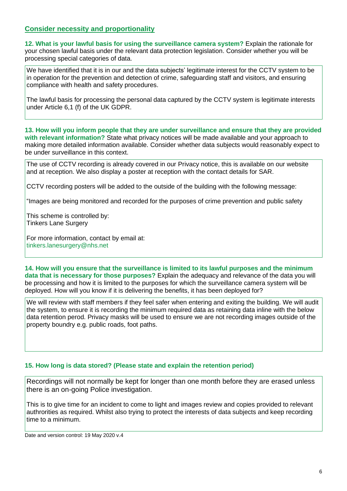# **Consider necessity and proportionality**

**12. What is your lawful basis for using the surveillance camera system?** Explain the rationale for your chosen lawful basis under the relevant data protection legislation. Consider whether you will be processing special categories of data.

We have identified that it is in our and the data subjects' legitimate interest for the CCTV system to be in operation for the prevention and detection of crime, safeguarding staff and visitors, and ensuring compliance with health and safety procedures.

The lawful basis for processing the personal data captured by the CCTV system is legitimate interests under Article 6,1 (f) of the UK GDPR.

**13. How will you inform people that they are under surveillance and ensure that they are provided with relevant information?** State what privacy notices will be made available and your approach to making more detailed information available. Consider whether data subjects would reasonably expect to be under surveillance in this context.

The use of CCTV recording is already covered in our Privacy notice, this is available on our website and at reception. We also display a poster at reception with the contact details for SAR.

CCTV recording posters will be added to the outside of the building with the following message:

"Images are being monitored and recorded for the purposes of crime prevention and public safety

This scheme is controlled by: Tinkers Lane Surgery

For more information, contact by email at: [tinkers.lanesurgery@nhs.net](mailto:tinkers.lanesurgery@nhs.net)

**14. How will you ensure that the surveillance is limited to its lawful purposes and the minimum data that is necessary for those purposes?** Explain the adequacy and relevance of the data you will be processing and how it is limited to the purposes for which the surveillance camera system will be deployed. How will you know if it is delivering the benefits, it has been deployed for?

We will review with staff members if they feel safer when entering and exiting the building. We will audit the system, to ensure it is recording the minimum required data as retaining data inline with the below data retention perod. Privacy masks will be used to ensure we are not recording images outside of the property boundry e.g. public roads, foot paths.

### **15. How long is data stored? (Please state and explain the retention period)**

Recordings will not normally be kept for longer than one month before they are erased unless there is an on-going Police investigation.

This is to give time for an incident to come to light and images review and copies provided to relevant authrorities as required. Whilst also trying to protect the interests of data subjects and keep recording time to a minimum.

Date and version control: 19 May 2020 v.4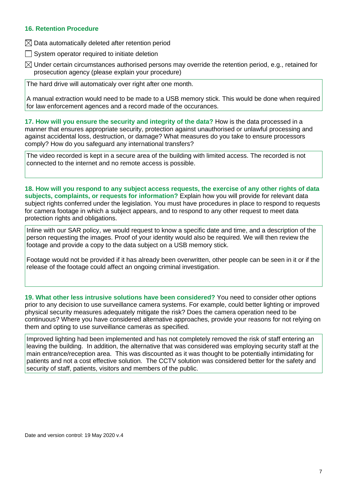### **16. Retention Procedure**

- $\boxtimes$  Data automatically deleted after retention period
- $\Box$  System operator required to initiate deletion
- $\boxtimes$  Under certain circumstances authorised persons may override the retention period, e.g., retained for prosecution agency (please explain your procedure)

The hard drive will automaticaly over right after one month.

A manual extraction would need to be made to a USB memory stick. This would be done when required for law enforcement agences and a record made of the occurances.

**17. How will you ensure the security and integrity of the data?** How is the data processed in a manner that ensures appropriate security, protection against unauthorised or unlawful processing and against accidental loss, destruction, or damage? What measures do you take to ensure processors comply? How do you safeguard any international transfers?

The video recorded is kept in a secure area of the building with limited access. The recorded is not connected to the internet and no remote access is possible.

**18. How will you respond to any subject access requests, the exercise of any other rights of data subjects, complaints, or requests for information?** Explain how you will provide for relevant data subject rights conferred under the legislation. You must have procedures in place to respond to requests for camera footage in which a subject appears, and to respond to any other request to meet data protection rights and obligations.

Inline with our SAR policy, we would request to know a specific date and time, and a description of the person requesting the images. Proof of your identity would also be required. We will then review the footage and provide a copy to the data subject on a USB memory stick.

Footage would not be provided if it has already been overwritten, other people can be seen in it or if the release of the footage could affect an ongoing criminal investigation.

**19. What other less intrusive solutions have been considered?** You need to consider other options prior to any decision to use surveillance camera systems. For example, could better lighting or improved physical security measures adequately mitigate the risk? Does the camera operation need to be continuous? Where you have considered alternative approaches, provide your reasons for not relying on them and opting to use surveillance cameras as specified.

Improved lighting had been implemented and has not completely removed the risk of staff entering an leaving the building. In addition, the alternative that was considered was employing security staff at the main entrance/reception area. This was discounted as it was thought to be potentially intimidating for patients and not a cost effective solution. The CCTV solution was considered better for the safety and security of staff, patients, visitors and members of the public.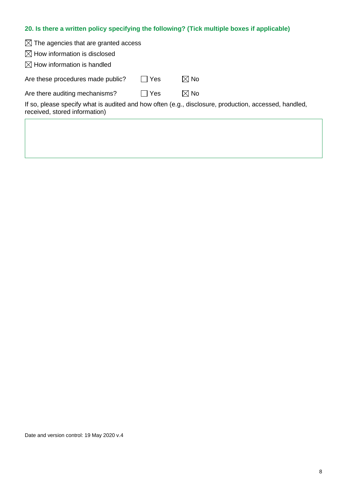# **20. Is there a written policy specifying the following? (Tick multiple boxes if applicable)**

| $\boxtimes$ The agencies that are granted access |        |                                                                                                       |
|--------------------------------------------------|--------|-------------------------------------------------------------------------------------------------------|
| $\boxtimes$ How information is disclosed         |        |                                                                                                       |
| $\boxtimes$ How information is handled           |        |                                                                                                       |
| Are these procedures made public?                | l IYes | $\boxtimes$ No                                                                                        |
| Are there auditing mechanisms?                   | l IYes | $\boxtimes$ No                                                                                        |
| received, stored information)                    |        | If so, please specify what is audited and how often (e.g., disclosure, production, accessed, handled, |
|                                                  |        |                                                                                                       |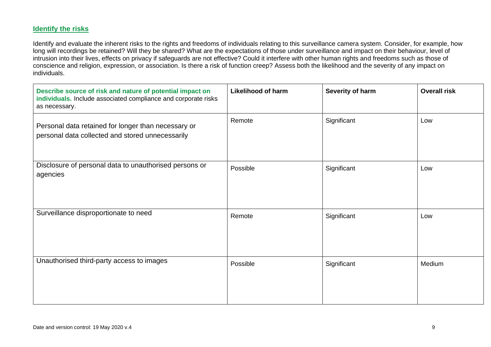# **Identify the risks**

Identify and evaluate the inherent risks to the rights and freedoms of individuals relating to this surveillance camera system. Consider, for example, how long will recordings be retained? Will they be shared? What are the expectations of those under surveillance and impact on their behaviour, level of intrusion into their lives, effects on privacy if safeguards are not effective? Could it interfere with other human rights and freedoms such as those of conscience and religion, expression, or association. Is there a risk of function creep? Assess both the likelihood and the severity of any impact on individuals.

| Describe source of risk and nature of potential impact on<br>individuals. Include associated compliance and corporate risks<br>as necessary. | <b>Likelihood of harm</b> | Severity of harm | <b>Overall risk</b> |
|----------------------------------------------------------------------------------------------------------------------------------------------|---------------------------|------------------|---------------------|
| Personal data retained for longer than necessary or<br>personal data collected and stored unnecessarily                                      | Remote                    | Significant      | Low                 |
| Disclosure of personal data to unauthorised persons or<br>agencies                                                                           | Possible                  | Significant      | Low                 |
| Surveillance disproportionate to need                                                                                                        | Remote                    | Significant      | Low                 |
| Unauthorised third-party access to images                                                                                                    | Possible                  | Significant      | Medium              |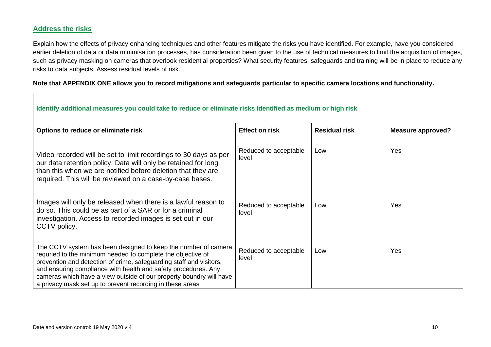# **Address the risks**

Explain how the effects of privacy enhancing techniques and other features mitigate the risks you have identified. For example, have you considered earlier deletion of data or data minimisation processes, has consideration been given to the use of technical measures to limit the acquisition of images, such as privacy masking on cameras that overlook residential properties? What security features, safeguards and training will be in place to reduce any risks to data subjects. Assess residual levels of risk.

## **Note that APPENDIX ONE allows you to record mitigations and safeguards particular to specific camera locations and functionality.**

| Identify additional measures you could take to reduce or eliminate risks identified as medium or high risk                                                                                                                                                                                                                                                                                                 |                                |                      |                          |
|------------------------------------------------------------------------------------------------------------------------------------------------------------------------------------------------------------------------------------------------------------------------------------------------------------------------------------------------------------------------------------------------------------|--------------------------------|----------------------|--------------------------|
| Options to reduce or eliminate risk                                                                                                                                                                                                                                                                                                                                                                        | <b>Effect on risk</b>          | <b>Residual risk</b> | <b>Measure approved?</b> |
| Video recorded will be set to limit recordings to 30 days as per<br>our data retention policy. Data will only be retained for long<br>than this when we are notified before deletion that they are<br>required. This will be reviewed on a case-by-case bases.                                                                                                                                             | Reduced to acceptable<br>level | Low                  | Yes                      |
| Images will only be released when there is a lawful reason to<br>do so. This could be as part of a SAR or for a criminal<br>investigation. Access to recorded images is set out in our<br>CCTV policy.                                                                                                                                                                                                     | Reduced to acceptable<br>level | Low                  | Yes                      |
| The CCTV system has been designed to keep the number of camera<br>requried to the minimum needed to complete the objective of<br>prevention and detection of crime, safeguarding staff and visitors,<br>and ensuring compliance with health and safety procedures. Any<br>cameras which have a view outside of our property boundry will have<br>a privacy mask set up to prevent recording in these areas | Reduced to acceptable<br>level | Low                  | Yes                      |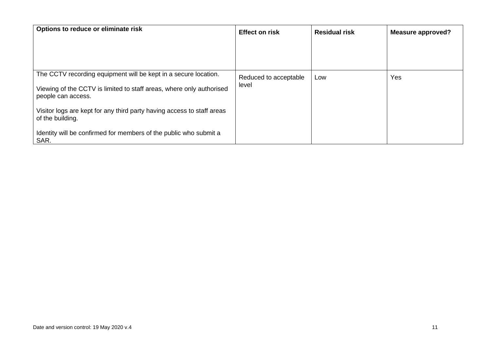| Options to reduce or eliminate risk                                                        | <b>Effect on risk</b> | <b>Residual risk</b> | <b>Measure approved?</b> |
|--------------------------------------------------------------------------------------------|-----------------------|----------------------|--------------------------|
|                                                                                            |                       |                      |                          |
|                                                                                            |                       |                      |                          |
| The CCTV recording equipment will be kept in a secure location.                            | Reduced to acceptable | Low                  | Yes                      |
| Viewing of the CCTV is limited to staff areas, where only authorised<br>people can access. | level                 |                      |                          |
| Visitor logs are kept for any third party having access to staff areas<br>of the building. |                       |                      |                          |
| Identity will be confirmed for members of the public who submit a<br>SAR.                  |                       |                      |                          |